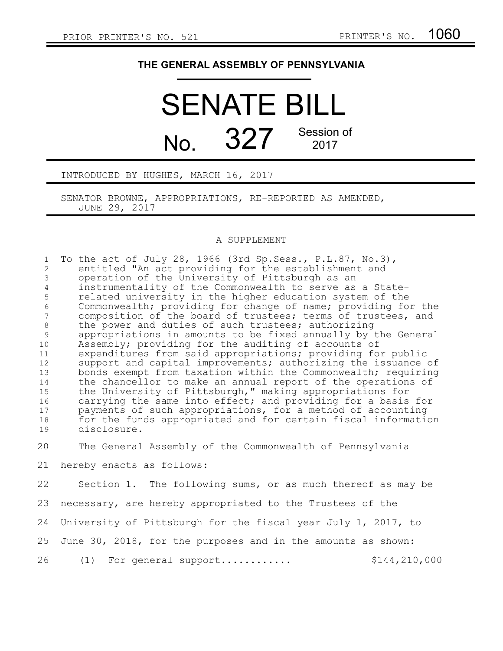## **THE GENERAL ASSEMBLY OF PENNSYLVANIA**

## SENATE BILL No. 327 Session of 2017

INTRODUCED BY HUGHES, MARCH 16, 2017

SENATOR BROWNE, APPROPRIATIONS, RE-REPORTED AS AMENDED, JUNE 29, 2017

## A SUPPLEMENT

| $\mathbf{1}$        | To the act of July 28, 1966 (3rd Sp. Sess., P. L. 87, No. 3),                                           |
|---------------------|---------------------------------------------------------------------------------------------------------|
| 2<br>$\mathfrak{Z}$ | entitled "An act providing for the establishment and<br>operation of the University of Pittsburgh as an |
| $\overline{4}$      | instrumentality of the Commonwealth to serve as a State-                                                |
| 5                   | related university in the higher education system of the                                                |
| $\epsilon$          | Commonwealth; providing for change of name; providing for the                                           |
| $7\overline{ }$     | composition of the board of trustees; terms of trustees, and                                            |
| $8\,$               | the power and duties of such trustees; authorizing                                                      |
| 9                   | appropriations in amounts to be fixed annually by the General                                           |
| 10                  | Assembly; providing for the auditing of accounts of                                                     |
| 11                  | expenditures from said appropriations; providing for public                                             |
| $12 \overline{ }$   | support and capital improvements; authorizing the issuance of                                           |
| 13                  | bonds exempt from taxation within the Commonwealth; requiring                                           |
| 14                  | the chancellor to make an annual report of the operations of                                            |
| 15                  | the University of Pittsburgh," making appropriations for                                                |
| 16                  | carrying the same into effect; and providing for a basis for                                            |
| 17                  | payments of such appropriations, for a method of accounting                                             |
| 18                  | for the funds appropriated and for certain fiscal information                                           |
| 19                  | disclosure.                                                                                             |
| 20                  | The General Assembly of the Commonwealth of Pennsylvania                                                |
| 21                  | hereby enacts as follows:                                                                               |
| 22                  | Section 1. The following sums, or as much thereof as may be                                             |
| 23                  | necessary, are hereby appropriated to the Trustees of the                                               |
| 24                  | University of Pittsburgh for the fiscal year July 1, 2017, to                                           |
| 25                  | June 30, 2018, for the purposes and in the amounts as shown:                                            |
| 26                  | \$144,210,000<br>(1) For general support                                                                |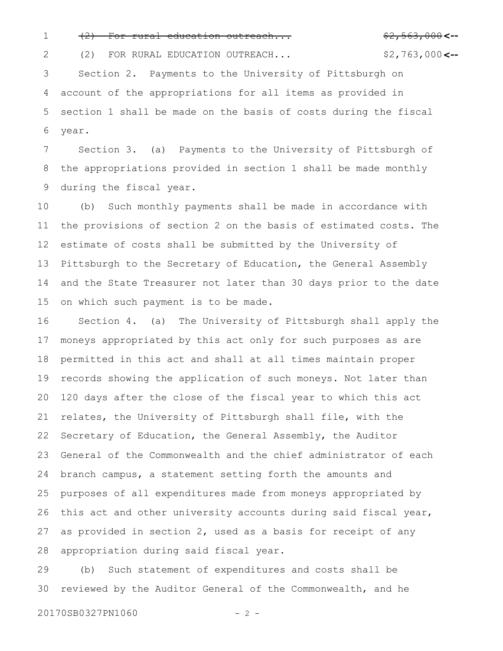2

1 (2) For rural education outreach...<br> **1** (2) For rural education outreach...

(2) FOR RURAL EDUCATION OUTREACH...

\$2,763,000<--

Section 2. Payments to the University of Pittsburgh on account of the appropriations for all items as provided in section 1 shall be made on the basis of costs during the fiscal year. 3 4 5 6

Section 3. (a) Payments to the University of Pittsburgh of the appropriations provided in section 1 shall be made monthly during the fiscal year. 7 8 9

(b) Such monthly payments shall be made in accordance with the provisions of section 2 on the basis of estimated costs. The estimate of costs shall be submitted by the University of Pittsburgh to the Secretary of Education, the General Assembly and the State Treasurer not later than 30 days prior to the date on which such payment is to be made. 10 11 12 13 14 15

Section 4. (a) The University of Pittsburgh shall apply the moneys appropriated by this act only for such purposes as are permitted in this act and shall at all times maintain proper records showing the application of such moneys. Not later than 120 days after the close of the fiscal year to which this act relates, the University of Pittsburgh shall file, with the Secretary of Education, the General Assembly, the Auditor General of the Commonwealth and the chief administrator of each branch campus, a statement setting forth the amounts and purposes of all expenditures made from moneys appropriated by this act and other university accounts during said fiscal year, as provided in section 2, used as a basis for receipt of any appropriation during said fiscal year. 16 17 18 19 20 21 22 23 24 25 26 27 28

(b) Such statement of expenditures and costs shall be reviewed by the Auditor General of the Commonwealth, and he 29 30

20170SB0327PN1060 - 2 -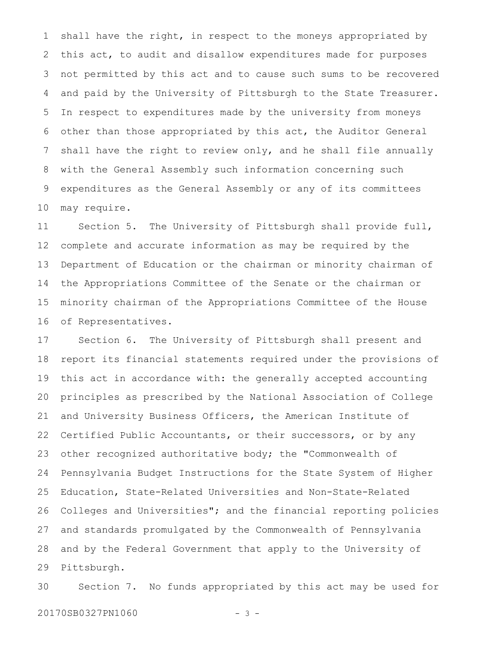shall have the right, in respect to the moneys appropriated by this act, to audit and disallow expenditures made for purposes not permitted by this act and to cause such sums to be recovered and paid by the University of Pittsburgh to the State Treasurer. In respect to expenditures made by the university from moneys other than those appropriated by this act, the Auditor General shall have the right to review only, and he shall file annually with the General Assembly such information concerning such expenditures as the General Assembly or any of its committees may require. 1 2 3 4 5 6 7 8 9 10

Section 5. The University of Pittsburgh shall provide full, complete and accurate information as may be required by the Department of Education or the chairman or minority chairman of the Appropriations Committee of the Senate or the chairman or minority chairman of the Appropriations Committee of the House of Representatives. 11 12 13 14 15 16

Section 6. The University of Pittsburgh shall present and report its financial statements required under the provisions of this act in accordance with: the generally accepted accounting principles as prescribed by the National Association of College and University Business Officers, the American Institute of Certified Public Accountants, or their successors, or by any other recognized authoritative body; the "Commonwealth of Pennsylvania Budget Instructions for the State System of Higher Education, State-Related Universities and Non-State-Related Colleges and Universities"; and the financial reporting policies and standards promulgated by the Commonwealth of Pennsylvania and by the Federal Government that apply to the University of Pittsburgh. 17 18 19 20 21 22 23 24 25 26 27 28 29

Section 7. No funds appropriated by this act may be used for 30

20170SB0327PN1060 - 3 -